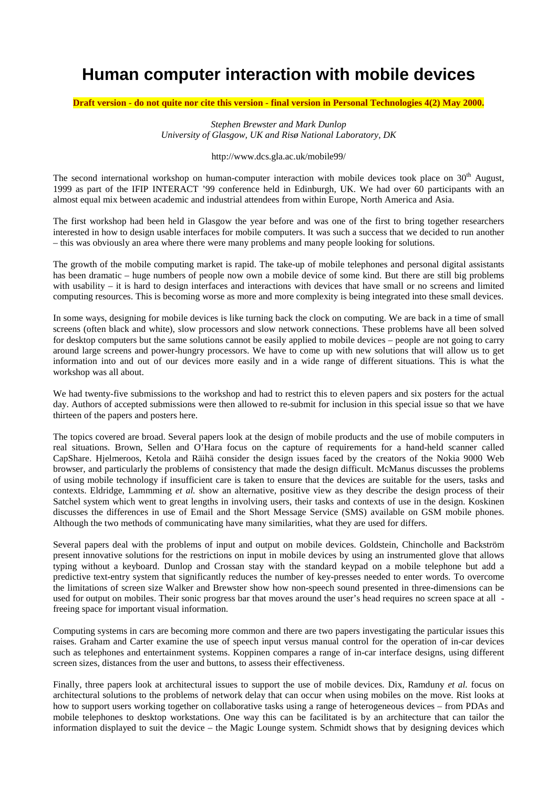## **Human computer interaction with mobile devices**

Draft version - do not quite nor cite this version - final version in Personal Technologies 4(2) May 2000.

*Stephen Brewster and Mark Dunlop University of Glasgow, UK and Risø National Laboratory, DK*

## http://www.dcs.gla.ac.uk/mobile99/

The second international workshop on human-computer interaction with mobile devices took place on  $30<sup>th</sup>$  August, 1999 as part of the IFIP INTERACT '99 conference held in Edinburgh, UK. We had over 60 participants with an almost equal mix between academic and industrial attendees from within Europe, North America and Asia.

The first workshop had been held in Glasgow the year before and was one of the first to bring together researchers interested in how to design usable interfaces for mobile computers. It was such a success that we decided to run another – this was obviously an area where there were many problems and many people looking for solutions.

The growth of the mobile computing market is rapid. The take-up of mobile telephones and personal digital assistants has been dramatic – huge numbers of people now own a mobile device of some kind. But there are still big problems with usability – it is hard to design interfaces and interactions with devices that have small or no screens and limited computing resources. This is becoming worse as more and more complexity is being integrated into these small devices.

In some ways, designing for mobile devices is like turning back the clock on computing. We are back in a time of small screens (often black and white), slow processors and slow network connections. These problems have all been solved for desktop computers but the same solutions cannot be easily applied to mobile devices – people are not going to carry around large screens and power-hungry processors. We have to come up with new solutions that will allow us to get information into and out of our devices more easily and in a wide range of different situations. This is what the workshop was all about.

We had twenty-five submissions to the workshop and had to restrict this to eleven papers and six posters for the actual day. Authors of accepted submissions were then allowed to re-submit for inclusion in this special issue so that we have thirteen of the papers and posters here.

The topics covered are broad. Several papers look at the design of mobile products and the use of mobile computers in real situations. Brown, Sellen and O'Hara focus on the capture of requirements for a hand-held scanner called CapShare. Hjelmeroos, Ketola and Räihä consider the design issues faced by the creators of the Nokia 9000 Web browser, and particularly the problems of consistency that made the design difficult. McManus discusses the problems of using mobile technology if insufficient care is taken to ensure that the devices are suitable for the users, tasks and contexts. Eldridge, Lammming *et al.* show an alternative, positive view as they describe the design process of their Satchel system which went to great lengths in involving users, their tasks and contexts of use in the design. Koskinen discusses the differences in use of Email and the Short Message Service (SMS) available on GSM mobile phones. Although the two methods of communicating have many similarities, what they are used for differs.

Several papers deal with the problems of input and output on mobile devices. Goldstein, Chincholle and Backström present innovative solutions for the restrictions on input in mobile devices by using an instrumented glove that allows typing without a keyboard. Dunlop and Crossan stay with the standard keypad on a mobile telephone but add a predictive text-entry system that significantly reduces the number of key-presses needed to enter words. To overcome the limitations of screen size Walker and Brewster show how non-speech sound presented in three-dimensions can be used for output on mobiles. Their sonic progress bar that moves around the user's head requires no screen space at all freeing space for important visual information.

Computing systems in cars are becoming more common and there are two papers investigating the particular issues this raises. Graham and Carter examine the use of speech input versus manual control for the operation of in-car devices such as telephones and entertainment systems. Koppinen compares a range of in-car interface designs, using different screen sizes, distances from the user and buttons, to assess their effectiveness.

Finally, three papers look at architectural issues to support the use of mobile devices. Dix, Ramduny *et al.* focus on architectural solutions to the problems of network delay that can occur when using mobiles on the move. Rist looks at how to support users working together on collaborative tasks using a range of heterogeneous devices – from PDAs and mobile telephones to desktop workstations. One way this can be facilitated is by an architecture that can tailor the information displayed to suit the device – the Magic Lounge system. Schmidt shows that by designing devices which